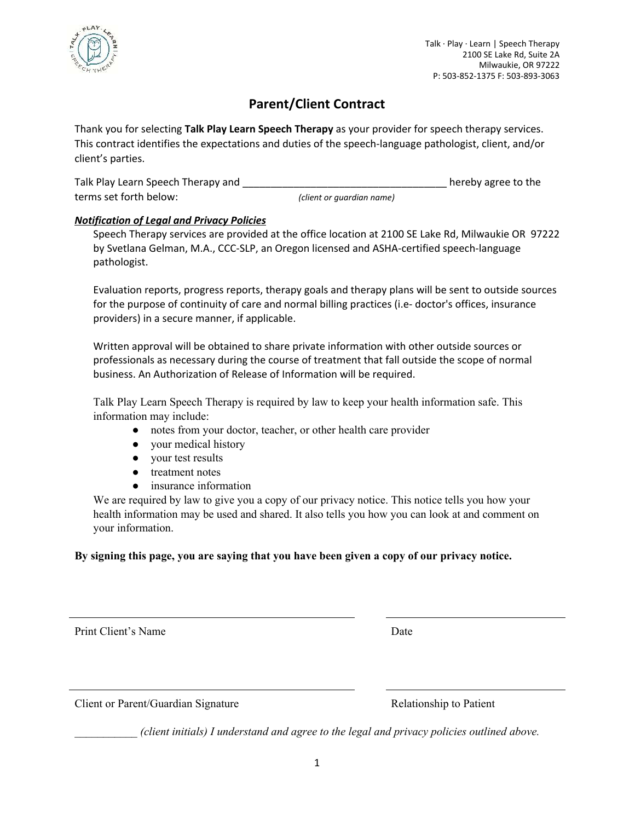

# **Parent/Client Contract**

Thank you for selecting **Talk Play Learn Speech Therapy** as your provider for speech therapy services. This contract identifies the expectations and duties of the speech-language pathologist, client, and/or client's parties.

| Talk Play Learn Speech Therapy and |                           | hereby agree to the |
|------------------------------------|---------------------------|---------------------|
| terms set forth below:             | (client or guardian name) |                     |

# *Notification of Legal and Privacy Policies*

Speech Therapy services are provided at the office location at 2100 SE Lake Rd, Milwaukie OR 97222 by Svetlana Gelman, M.A., CCC-SLP, an Oregon licensed and ASHA-certified speech-language pathologist.

Evaluation reports, progress reports, therapy goals and therapy plans will be sent to outside sources for the purpose of continuity of care and normal billing practices (i.e- doctor's offices, insurance providers) in a secure manner, if applicable.

Written approval will be obtained to share private information with other outside sources or professionals as necessary during the course of treatment that fall outside the scope of normal business. An Authorization of Release of Information will be required.

Talk Play Learn Speech Therapy is required by law to keep your health information safe. This information may include:

- notes from your doctor, teacher, or other health care provider
- your medical history
- your test results
- treatment notes
- insurance information

We are required by law to give you a copy of our privacy notice. This notice tells you how your health information may be used and shared. It also tells you how you can look at and comment on your information.

# **By signing this page, you are saying that you have been given a copy of our privacy notice.**

Print Client's Name Date

Client or Parent/Guardian Signature Relationship to Patient

*\_\_\_\_\_\_\_\_\_\_\_ (client initials) I understand and agree to the legal and privacy policies outlined above.*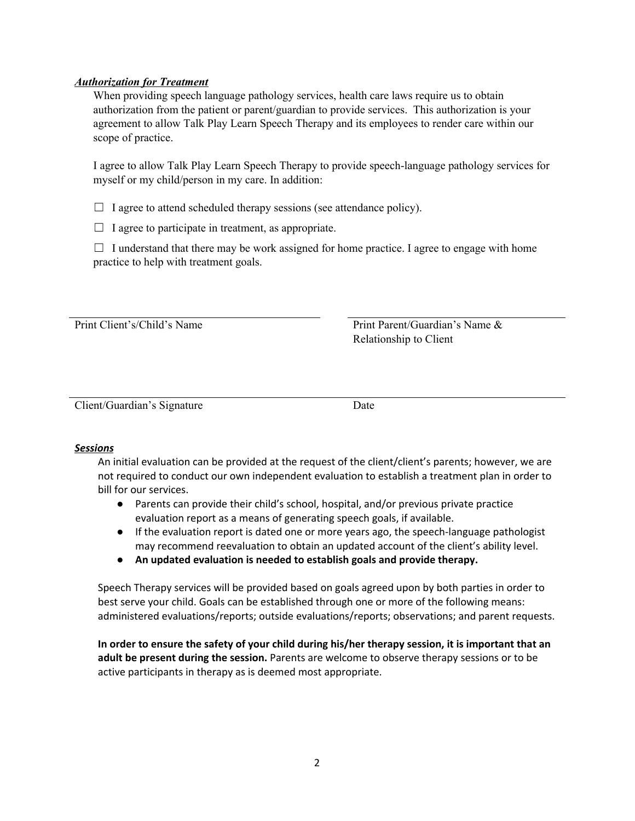## *Authorization for Treatment*

When providing speech language pathology services, health care laws require us to obtain authorization from the patient or parent/guardian to provide services. This authorization is your agreement to allow Talk Play Learn Speech Therapy and its employees to render care within our scope of practice.

I agree to allow Talk Play Learn Speech Therapy to provide speech-language pathology services for myself or my child/person in my care. In addition:

 $\Box$  I agree to attend scheduled therapy sessions (see attendance policy).

 $\Box$  I agree to participate in treatment, as appropriate.

 $\Box$  I understand that there may be work assigned for home practice. I agree to engage with home practice to help with treatment goals.

Print Client's/Child's Name Print Parent/Guardian's Name & Relationship to Client

Client/Guardian's Signature Date

## *Sessions*

An initial evaluation can be provided at the request of the client/client's parents; however, we are not required to conduct our own independent evaluation to establish a treatment plan in order to bill for our services.

- Parents can provide their child's school, hospital, and/or previous private practice evaluation report as a means of generating speech goals, if available.
- If the evaluation report is dated one or more years ago, the speech-language pathologist may recommend reevaluation to obtain an updated account of the client's ability level.
- **● An updated evaluation is needed to establish goals and provide therapy.**

Speech Therapy services will be provided based on goals agreed upon by both parties in order to best serve your child. Goals can be established through one or more of the following means: administered evaluations/reports; outside evaluations/reports; observations; and parent requests.

**In order to ensure the safety of your child during his/her therapy session, it is important that an adult be present during the session.** Parents are welcome to observe therapy sessions or to be active participants in therapy as is deemed most appropriate.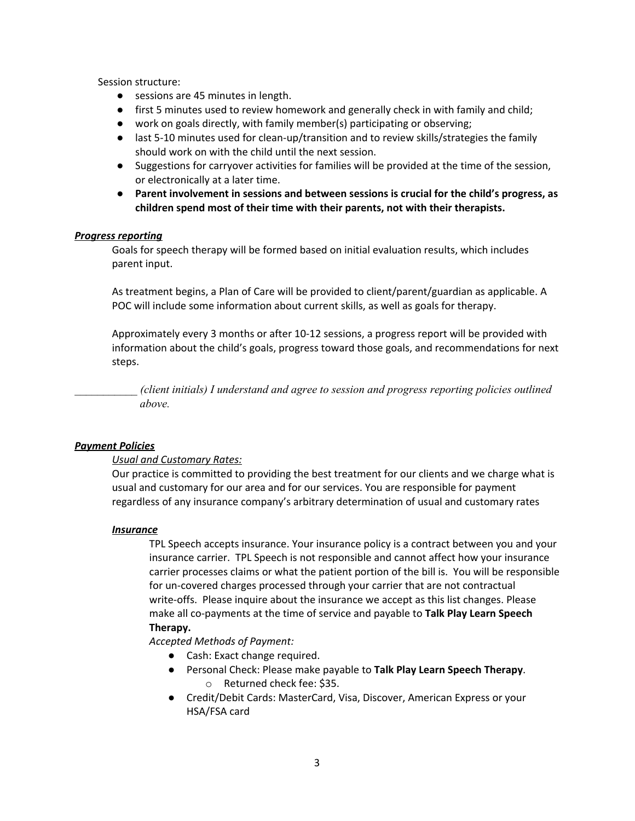Session structure:

- sessions are 45 minutes in length.
- **●** first 5 minutes used to review homework and generally check in with family and child;
- **●** work on goals directly, with family member(s) participating or observing;
- **●** last 5-10 minutes used for clean-up/transition and to review skills/strategies the family should work on with the child until the next session.
- **●** Suggestions for carryover activities for families will be provided at the time of the session, or electronically at a later time.
- **● Parent involvement in sessions and between sessions is crucial for the child's progress, as children spend most of their time with their parents, not with their therapists.**

#### *Progress reporting*

Goals for speech therapy will be formed based on initial evaluation results, which includes parent input.

As treatment begins, a Plan of Care will be provided to client/parent/guardian as applicable. A POC will include some information about current skills, as well as goals for therapy.

Approximately every 3 months or after 10-12 sessions, a progress report will be provided with information about the child's goals, progress toward those goals, and recommendations for next steps.

*\_\_\_\_\_\_\_\_\_\_\_ (client initials) I understand and agree to session and progress reporting policies outlined above.*

#### *Payment Policies*

#### *Usual and Customary Rates:*

Our practice is committed to providing the best treatment for our clients and we charge what is usual and customary for our area and for our services. You are responsible for payment regardless of any insurance company's arbitrary determination of usual and customary rates

#### *Insurance*

TPL Speech accepts insurance. Your insurance policy is a contract between you and your insurance carrier. TPL Speech is not responsible and cannot affect how your insurance carrier processes claims or what the patient portion of the bill is. You will be responsible for un-covered charges processed through your carrier that are not contractual write-offs. Please inquire about the insurance we accept as this list changes. Please make all co-payments at the time of service and payable to **Talk Play Learn Speech Therapy.** 

*Accepted Methods of Payment:* 

- Cash: Exact change required.
- Personal Check: Please make payable to **Talk Play Learn Speech Therapy**. o Returned check fee: \$35.
- Credit/Debit Cards: MasterCard, Visa, Discover, American Express or your HSA/FSA card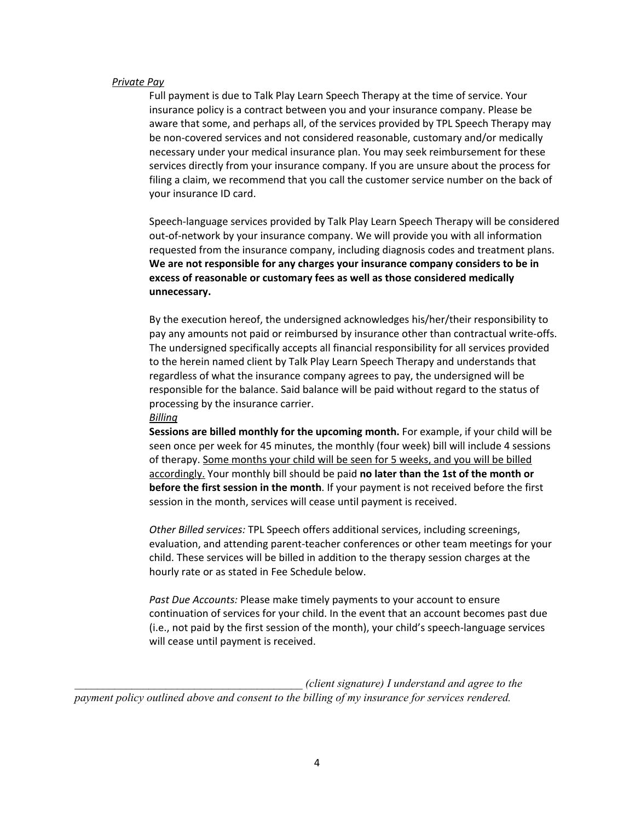#### *Private Pay*

Full payment is due to Talk Play Learn Speech Therapy at the time of service. Your insurance policy is a contract between you and your insurance company. Please be aware that some, and perhaps all, of the services provided by TPL Speech Therapy may be non-covered services and not considered reasonable, customary and/or medically necessary under your medical insurance plan. You may seek reimbursement for these services directly from your insurance company. If you are unsure about the process for filing a claim, we recommend that you call the customer service number on the back of your insurance ID card.

Speech-language services provided by Talk Play Learn Speech Therapy will be considered out-of-network by your insurance company. We will provide you with all information requested from the insurance company, including diagnosis codes and treatment plans. **We are not responsible for any charges your insurance company considers to be in excess of reasonable or customary fees as well as those considered medically unnecessary.**

By the execution hereof, the undersigned acknowledges his/her/their responsibility to pay any amounts not paid or reimbursed by insurance other than contractual write-offs. The undersigned specifically accepts all financial responsibility for all services provided to the herein named client by Talk Play Learn Speech Therapy and understands that regardless of what the insurance company agrees to pay, the undersigned will be responsible for the balance. Said balance will be paid without regard to the status of processing by the insurance carrier.

#### *Billing*

**Sessions are billed monthly for the upcoming month.** For example, if your child will be seen once per week for 45 minutes, the monthly (four week) bill will include 4 sessions of therapy. Some months your child will be seen for 5 weeks, and you will be billed accordingly. Your monthly bill should be paid **no later than the 1st of the month or before the first session in the month**. If your payment is not received before the first session in the month, services will cease until payment is received.

*Other Billed services:* TPL Speech offers additional services, including screenings, evaluation, and attending parent-teacher conferences or other team meetings for your child. These services will be billed in addition to the therapy session charges at the hourly rate or as stated in Fee Schedule below.

*Past Due Accounts:* Please make timely payments to your account to ensure continuation of services for your child. In the event that an account becomes past due (i.e., not paid by the first session of the month), your child's speech-language services will cease until payment is received.

*(client signature) I understand and agree to the payment policy outlined above and consent to the billing of my insurance for services rendered.*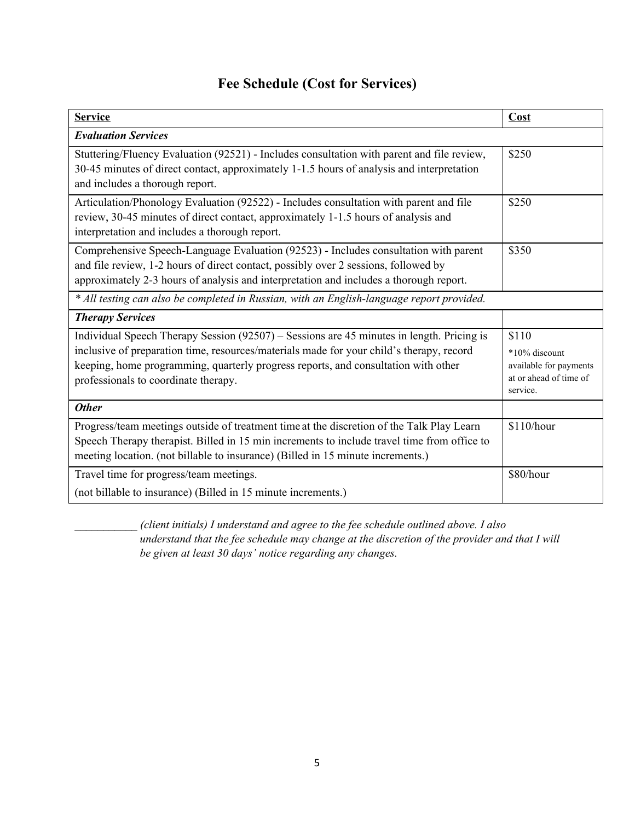| <b>Fee Schedule (Cost for Services)</b> |  |  |
|-----------------------------------------|--|--|
|-----------------------------------------|--|--|

| <b>Service</b>                                                                                                                                                                                                                                                                                                      | Cost                                                                                   |  |  |
|---------------------------------------------------------------------------------------------------------------------------------------------------------------------------------------------------------------------------------------------------------------------------------------------------------------------|----------------------------------------------------------------------------------------|--|--|
| <b>Evaluation Services</b>                                                                                                                                                                                                                                                                                          |                                                                                        |  |  |
| Stuttering/Fluency Evaluation (92521) - Includes consultation with parent and file review,<br>30-45 minutes of direct contact, approximately 1-1.5 hours of analysis and interpretation<br>and includes a thorough report.                                                                                          | \$250                                                                                  |  |  |
| Articulation/Phonology Evaluation (92522) - Includes consultation with parent and file<br>review, 30-45 minutes of direct contact, approximately 1-1.5 hours of analysis and<br>interpretation and includes a thorough report.                                                                                      | \$250                                                                                  |  |  |
| Comprehensive Speech-Language Evaluation (92523) - Includes consultation with parent<br>and file review, 1-2 hours of direct contact, possibly over 2 sessions, followed by<br>approximately 2-3 hours of analysis and interpretation and includes a thorough report.                                               | \$350                                                                                  |  |  |
| * All testing can also be completed in Russian, with an English-language report provided.                                                                                                                                                                                                                           |                                                                                        |  |  |
| <b>Therapy Services</b>                                                                                                                                                                                                                                                                                             |                                                                                        |  |  |
| Individual Speech Therapy Session (92507) – Sessions are 45 minutes in length. Pricing is<br>inclusive of preparation time, resources/materials made for your child's therapy, record<br>keeping, home programming, quarterly progress reports, and consultation with other<br>professionals to coordinate therapy. | \$110<br>*10% discount<br>available for payments<br>at or ahead of time of<br>service. |  |  |
| <b>Other</b>                                                                                                                                                                                                                                                                                                        |                                                                                        |  |  |
| Progress/team meetings outside of treatment time at the discretion of the Talk Play Learn<br>Speech Therapy therapist. Billed in 15 min increments to include travel time from office to<br>meeting location. (not billable to insurance) (Billed in 15 minute increments.)                                         | \$110/hour                                                                             |  |  |
| Travel time for progress/team meetings.<br>(not billable to insurance) (Billed in 15 minute increments.)                                                                                                                                                                                                            | \$80/hour                                                                              |  |  |

*\_\_\_\_\_\_\_\_\_\_\_ (client initials) I understand and agree to the fee schedule outlined above. I also understand that the fee schedule may change at the discretion of the provider and that I will be given at least 30 days' notice regarding any changes.*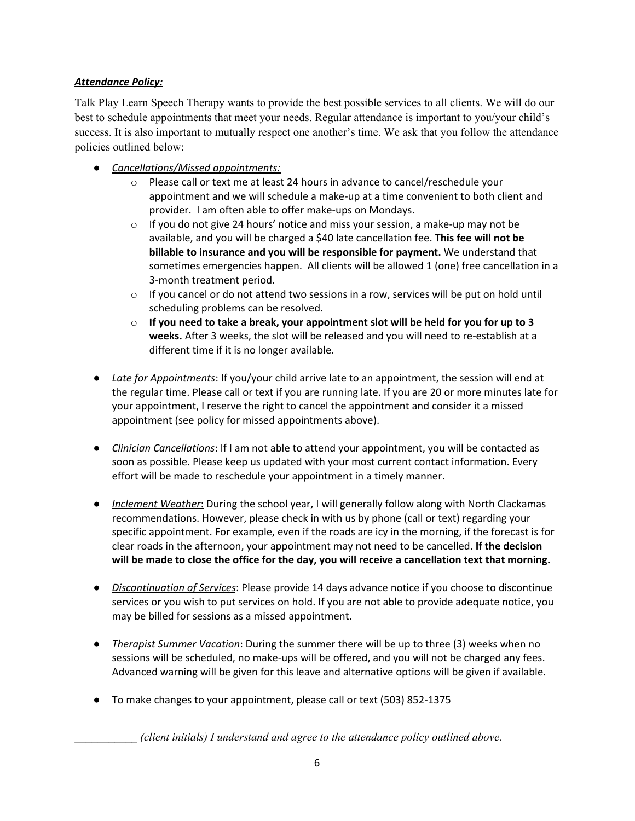# *Attendance Policy:*

Talk Play Learn Speech Therapy wants to provide the best possible services to all clients. We will do our best to schedule appointments that meet your needs. Regular attendance is important to you/your child's success. It is also important to mutually respect one another's time. We ask that you follow the attendance policies outlined below:

- *Cancellations/Missed appointments:*
	- o Please call or text me at least 24 hours in advance to cancel/reschedule your appointment and we will schedule a make-up at a time convenient to both client and provider. I am often able to offer make-ups on Mondays.
	- $\circ$  If you do not give 24 hours' notice and miss your session, a make-up may not be available, and you will be charged a \$40 late cancellation fee. **This fee will not be billable to insurance and you will be responsible for payment.** We understand that sometimes emergencies happen. All clients will be allowed 1 (one) free cancellation in a 3-month treatment period.
	- $\circ$  If you cancel or do not attend two sessions in a row, services will be put on hold until scheduling problems can be resolved.
	- o **If you need to take a break, your appointment slot will be held for you for up to 3 weeks.** After 3 weeks, the slot will be released and you will need to re-establish at a different time if it is no longer available.
- *Late for Appointments*: If you/your child arrive late to an appointment, the session will end at the regular time. Please call or text if you are running late. If you are 20 or more minutes late for your appointment, I reserve the right to cancel the appointment and consider it a missed appointment (see policy for missed appointments above).
- *Clinician Cancellations*: If I am not able to attend your appointment, you will be contacted as soon as possible. Please keep us updated with your most current contact information. Every effort will be made to reschedule your appointment in a timely manner.
- *Inclement Weather*: During the school year, I will generally follow along with North Clackamas recommendations. However, please check in with us by phone (call or text) regarding your specific appointment. For example, even if the roads are icy in the morning, if the forecast is for clear roads in the afternoon, your appointment may not need to be cancelled. **If the decision will be made to close the office for the day, you will receive a cancellation text that morning.**
- *Discontinuation of Services*: Please provide 14 days advance notice if you choose to discontinue services or you wish to put services on hold. If you are not able to provide adequate notice, you may be billed for sessions as a missed appointment.
- *Therapist Summer Vacation*: During the summer there will be up to three (3) weeks when no sessions will be scheduled, no make-ups will be offered, and you will not be charged any fees. Advanced warning will be given for this leave and alternative options will be given if available.
- To make changes to your appointment, please call or text (503) 852-1375

*(client initials) I understand and agree to the attendance policy outlined above.*